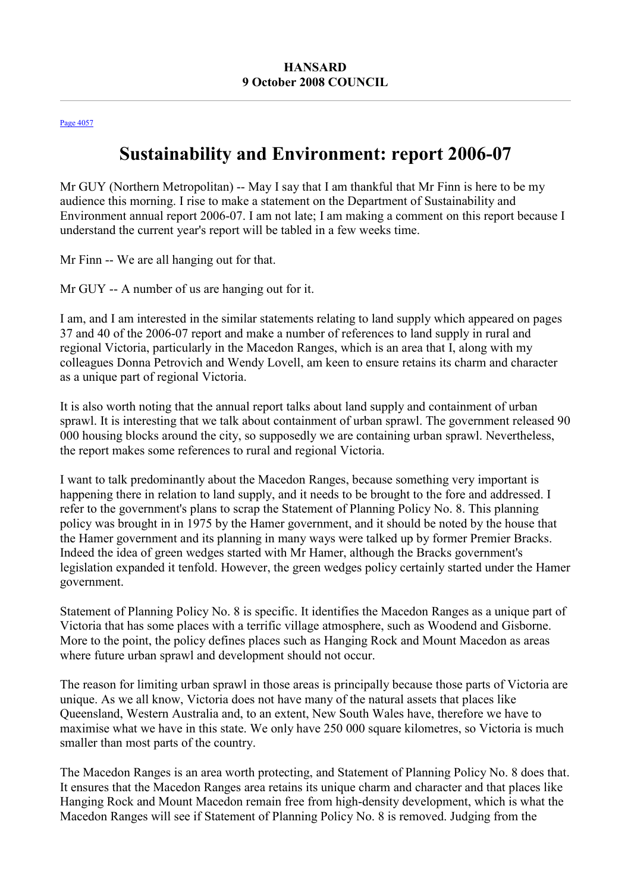## Page 4057

## **Sustainability and Environment: report 2006-07**

Mr GUY (Northern Metropolitan) -- May I say that I am thankful that Mr Finn is here to be my audience this morning. I rise to make a statement on the Department of Sustainability and Environment annual report 2006-07. I am not late; I am making a comment on this report because I understand the current year's report will be tabled in a few weeks time.

Mr Finn -- We are all hanging out for that.

Mr GUY -- A number of us are hanging out for it.

I am, and I am interested in the similar statements relating to land supply which appeared on pages 37 and 40 of the 2006-07 report and make a number of references to land supply in rural and regional Victoria, particularly in the Macedon Ranges, which is an area that I, along with my colleagues Donna Petrovich and Wendy Lovell, am keen to ensure retains its charm and character as a unique part of regional Victoria.

It is also worth noting that the annual report talks about land supply and containment of urban sprawl. It is interesting that we talk about containment of urban sprawl. The government released 90 000 housing blocks around the city, so supposedly we are containing urban sprawl. Nevertheless, the report makes some references to rural and regional Victoria.

I want to talk predominantly about the Macedon Ranges, because something very important is happening there in relation to land supply, and it needs to be brought to the fore and addressed. I refer to the government's plans to scrap the Statement of Planning Policy No. 8. This planning policy was brought in in 1975 by the Hamer government, and it should be noted by the house that the Hamer government and its planning in many ways were talked up by former Premier Bracks. Indeed the idea of green wedges started with Mr Hamer, although the Bracks government's legislation expanded it tenfold. However, the green wedges policy certainly started under the Hamer government.

Statement of Planning Policy No. 8 is specific. It identifies the Macedon Ranges as a unique part of Victoria that has some places with a terrific village atmosphere, such as Woodend and Gisborne. More to the point, the policy defines places such as Hanging Rock and Mount Macedon as areas where future urban sprawl and development should not occur.

The reason for limiting urban sprawl in those areas is principally because those parts of Victoria are unique. As we all know, Victoria does not have many of the natural assets that places like Queensland, Western Australia and, to an extent, New South Wales have, therefore we have to maximise what we have in this state. We only have 250 000 square kilometres, so Victoria is much smaller than most parts of the country.

The Macedon Ranges is an area worth protecting, and Statement of Planning Policy No. 8 does that. It ensures that the Macedon Ranges area retains its unique charm and character and that places like Hanging Rock and Mount Macedon remain free from high-density development, which is what the Macedon Ranges will see if Statement of Planning Policy No. 8 is removed. Judging from the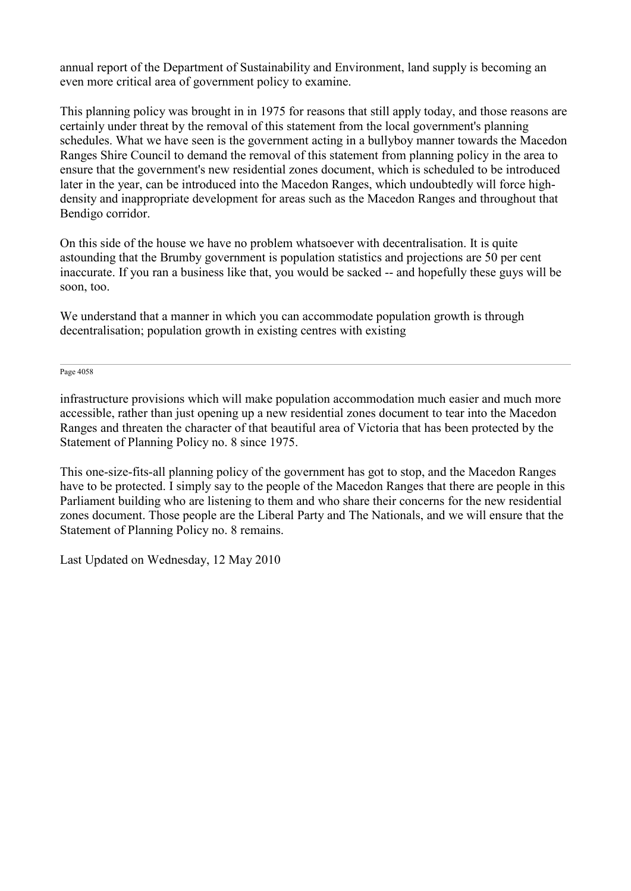annual report of the Department of Sustainability and Environment, land supply is becoming an even more critical area of government policy to examine.

This planning policy was brought in in 1975 for reasons that still apply today, and those reasons are certainly under threat by the removal of this statement from the local government's planning schedules. What we have seen is the government acting in a bullyboy manner towards the Macedon Ranges Shire Council to demand the removal of this statement from planning policy in the area to ensure that the government's new residential zones document, which is scheduled to be introduced later in the year, can be introduced into the Macedon Ranges, which undoubtedly will force highdensity and inappropriate development for areas such as the Macedon Ranges and throughout that Bendigo corridor.

On this side of the house we have no problem whatsoever with decentralisation. It is quite astounding that the Brumby government is population statistics and projections are 50 per cent inaccurate. If you ran a business like that, you would be sacked -- and hopefully these guys will be soon, too.

We understand that a manner in which you can accommodate population growth is through decentralisation; population growth in existing centres with existing

Page 4058

infrastructure provisions which will make population accommodation much easier and much more accessible, rather than just opening up a new residential zones document to tear into the Macedon Ranges and threaten the character of that beautiful area of Victoria that has been protected by the Statement of Planning Policy no. 8 since 1975.

This one-size-fits-all planning policy of the government has got to stop, and the Macedon Ranges have to be protected. I simply say to the people of the Macedon Ranges that there are people in this Parliament building who are listening to them and who share their concerns for the new residential zones document. Those people are the Liberal Party and The Nationals, and we will ensure that the Statement of Planning Policy no. 8 remains.

Last Updated on Wednesday, 12 May 2010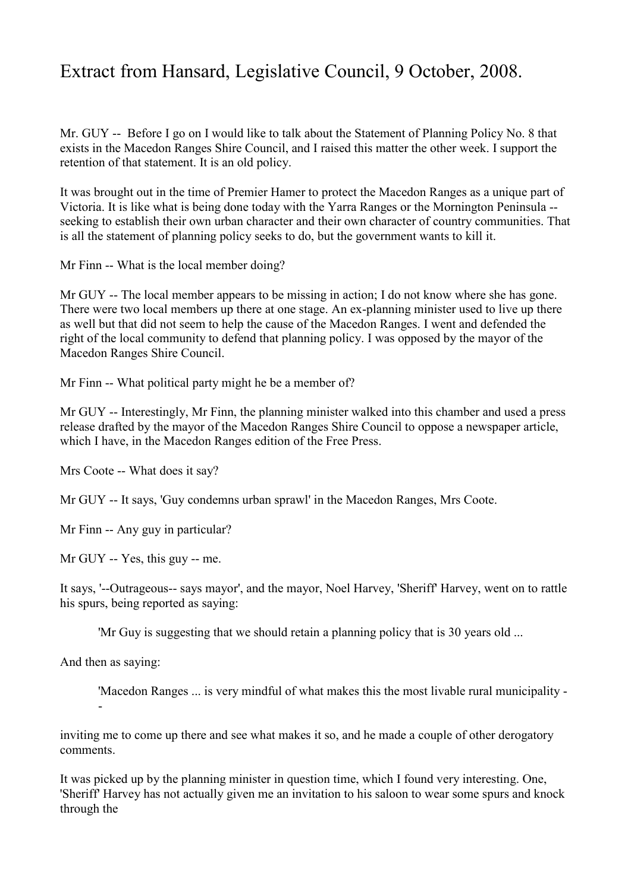## Extract from Hansard, Legislative Council, 9 October, 2008.

Mr. GUY -- Before I go on I would like to talk about the Statement of Planning Policy No. 8 that exists in the Macedon Ranges Shire Council, and I raised this matter the other week. I support the retention of that statement. It is an old policy.

It was brought out in the time of Premier Hamer to protect the Macedon Ranges as a unique part of Victoria. It is like what is being done today with the Yarra Ranges or the Mornington Peninsula - seeking to establish their own urban character and their own character of country communities. That is all the statement of planning policy seeks to do, but the government wants to kill it.

Mr Finn -- What is the local member doing?

Mr GUY -- The local member appears to be missing in action; I do not know where she has gone. There were two local members up there at one stage. An ex-planning minister used to live up there as well but that did not seem to help the cause of the Macedon Ranges. I went and defended the right of the local community to defend that planning policy. I was opposed by the mayor of the Macedon Ranges Shire Council.

Mr Finn -- What political party might he be a member of?

Mr GUY -- Interestingly, Mr Finn, the planning minister walked into this chamber and used a press release drafted by the mayor of the Macedon Ranges Shire Council to oppose a newspaper article, which I have, in the Macedon Ranges edition of the Free Press.

Mrs Coote -- What does it say?

Mr GUY -- It says, 'Guy condemns urban sprawl' in the Macedon Ranges, Mrs Coote.

Mr Finn -- Any guy in particular?

Mr GUY -- Yes, this guy -- me.

It says, '--Outrageous-- says mayor', and the mayor, Noel Harvey, 'Sheriff' Harvey, went on to rattle his spurs, being reported as saying:

'Mr Guy is suggesting that we should retain a planning policy that is 30 years old ...

And then as saying:

'Macedon Ranges ... is very mindful of what makes this the most livable rural municipality - -

inviting me to come up there and see what makes it so, and he made a couple of other derogatory comments.

It was picked up by the planning minister in question time, which I found very interesting. One, 'Sheriff' Harvey has not actually given me an invitation to his saloon to wear some spurs and knock through the